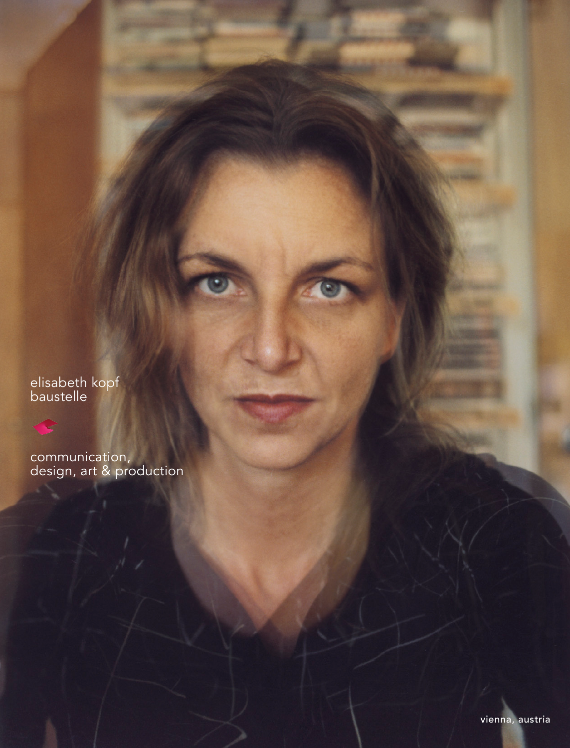elisabeth kopf<br>baustelle

communication,<br>design, art & production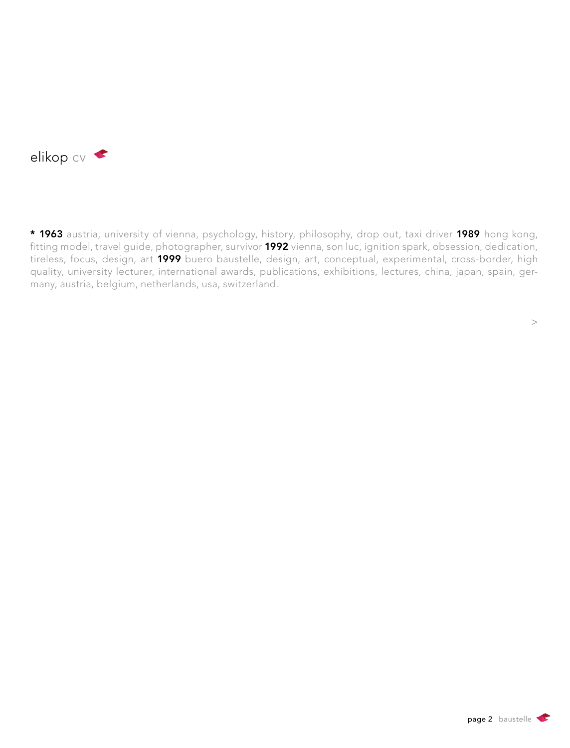

\* 1963 austria, university of vienna, psychology, history, philosophy, drop out, taxi driver 1989 hong kong, fitting model, travel guide, photographer, survivor 1992 vienna, son luc, ignition spark, obsession, dedication, tireless, focus, design, art 1999 buero baustelle, design, art, conceptual, experimental, cross-border, high quality, university lecturer, international awards, publications, exhibitions, lectures, china, japan, spain, germany, austria, belgium, netherlands, usa, switzerland.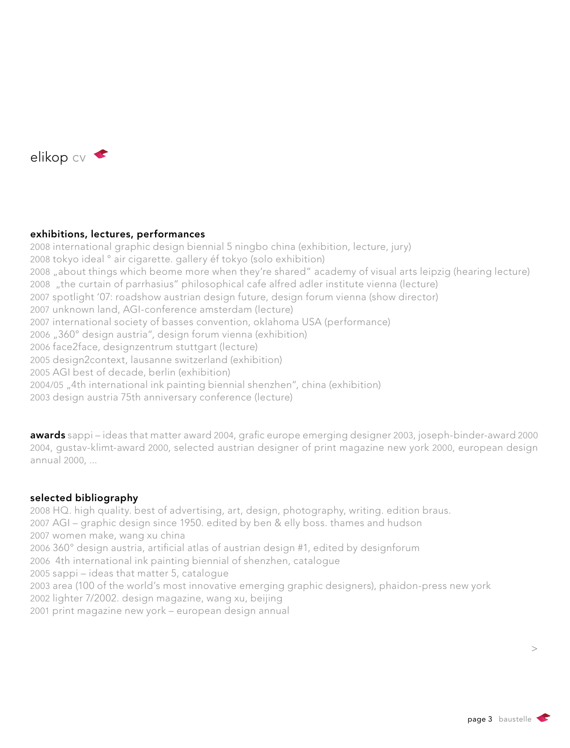

## exhibitions, lectures, performances

2008 international graphic design biennial 5 ningbo china (exhibition, lecture, jury) 2008 tokyo ideal ° air cigarette. gallery éf tokyo (solo exhibition) 2008 "about things which beome more when they're shared" academy of visual arts leipzig (hearing lecture) 2008 "the curtain of parrhasius" philosophical cafe alfred adler institute vienna (lecture) 2007 spotlight '07: roadshow austrian design future, design forum vienna (show director) 2007 unknown land, AGI-conference amsterdam (lecture) 2007 international society of basses convention, oklahoma USA (performance) 2006 "360° design austria", design forum vienna (exhibition) 2006 face2face, designzentrum stuttgart (lecture) 2005 design2context, lausanne switzerland (exhibition) 2005 AGI best of decade, berlin (exhibition) 2004/05 "4th international ink painting biennial shenzhen", china (exhibition) 2003 design austria 75th anniversary conference (lecture)

awards sappi – ideas that matter award 2004, grafic europe emerging designer 2003, joseph-binder-award 2000 2004, gustav-klimt-award 2000, selected austrian designer of print magazine new york 2000, european design annual 2000, ...

# selected bibliography

2008 HQ. high quality. best of advertising, art, design, photography, writing. edition braus. 2007 AGI – graphic design since 1950. edited by ben & elly boss. thames and hudson 2007 women make, wang xu china 2006 360° design austria, artificial atlas of austrian design #1, edited by designforum 2006 4th international ink painting biennial of shenzhen, catalogue 2005 sappi – ideas that matter 5, catalogue 2003 area (100 of the world's most innovative emerging graphic designers), phaidon-press new york 2002 lighter 7/2002. design magazine, wang xu, beijing 2001 print magazine new york – european design annual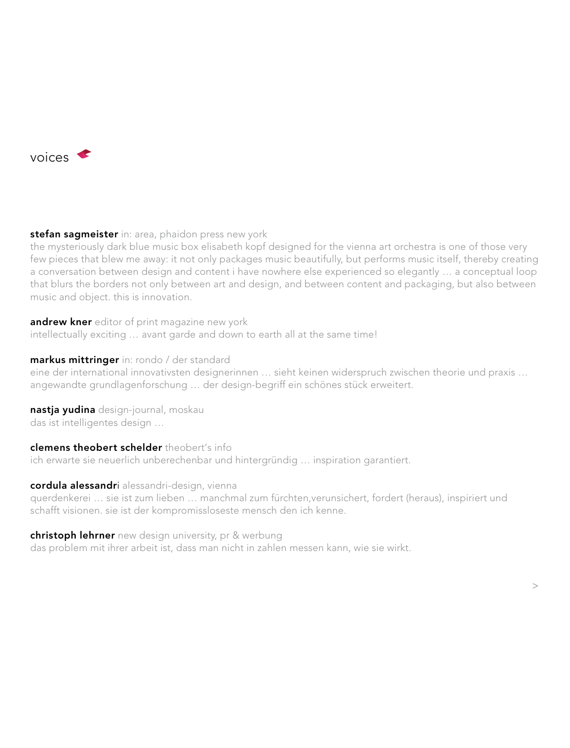

stefan sagmeister in: area, phaidon press new york

the mysteriously dark blue music box elisabeth kopf designed for the vienna art orchestra is one of those very few pieces that blew me away: it not only packages music beautifully, but performs music itself, thereby creating a conversation between design and content i have nowhere else experienced so elegantly … a conceptual loop that blurs the borders not only between art and design, and between content and packaging, but also between music and object. this is innovation.

andrew kner editor of print magazine new york intellectually exciting … avant garde and down to earth all at the same time!

## markus mittringer in: rondo / der standard

eine der international innovativsten designerinnen … sieht keinen widerspruch zwischen theorie und praxis … angewandte grundlagenforschung … der design-begriff ein schönes stück erweitert.

nastja yudina design-journal, moskau das ist intelligentes design …

### clemens theobert schelder theobert's info

ich erwarte sie neuerlich unberechenbar und hintergründig … inspiration garantiert.

### cordula alessandri alessandri-design, vienna

querdenkerei … sie ist zum lieben … manchmal zum fürchten,verunsichert, fordert (heraus), inspiriert und schafft visionen. sie ist der kompromissloseste mensch den ich kenne.

### christoph lehrner new design university, pr & werbung

das problem mit ihrer arbeit ist, dass man nicht in zahlen messen kann, wie sie wirkt.